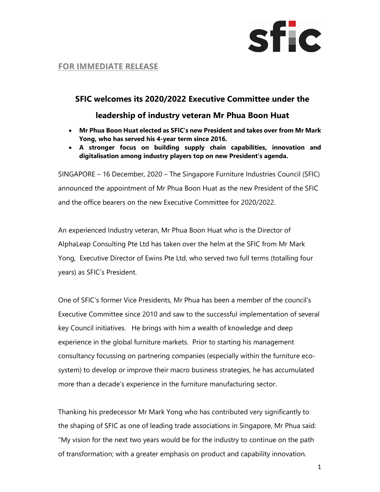

# **FOR IMMEDIATE** RELEASE

# SFIC welcomes its 2020/2022 Executive Committee under the

## leadership of industry veteran Mr Phua Boon Huat

- Mr Phua Boon Huat elected as SFIC's new President and takes over from Mr Mark Yong, who has served his 4-year term since 2016.
- A stronger focus on building supply chain capabilities, innovation and digitalisation among industry players top on new President's agenda.

SINGAPORE – 16 December, 2020 – The Singapore Furniture Industries Council (SFIC) announced the appointment of Mr Phua Boon Huat as the new President of the SFIC and the office bearers on the new Executive Committee for 2020/2022.

An experienced Industry veteran, Mr Phua Boon Huat who is the Director of AlphaLeap Consulting Pte Ltd has taken over the helm at the SFIC from Mr Mark Yong, Executive Director of Ewins Pte Ltd, who served two full terms (totalling four years) as SFIC's President.

One of SFIC's former Vice Presidents, Mr Phua has been a member of the council's Executive Committee since 2010 and saw to the successful implementation of several key Council initiatives. He brings with him a wealth of knowledge and deep experience in the global furniture markets. Prior to starting his management consultancy focussing on partnering companies (especially within the furniture ecosystem) to develop or improve their macro business strategies, he has accumulated more than a decade's experience in the furniture manufacturing sector.

Thanking his predecessor Mr Mark Yong who has contributed very significantly to the shaping of SFIC as one of leading trade associations in Singapore, Mr Phua said: "My vision for the next two years would be for the industry to continue on the path of transformation; with a greater emphasis on product and capability innovation.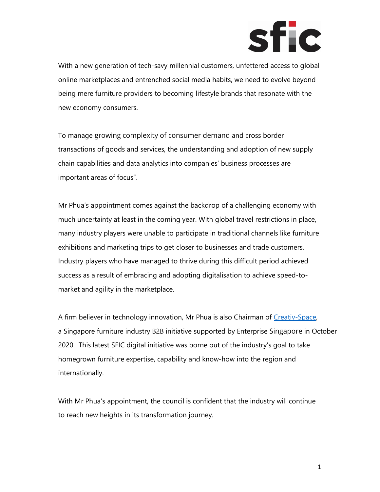

With a new generation of tech-savy millennial customers, unfettered access to global online marketplaces and entrenched social media habits, we need to evolve beyond being mere furniture providers to becoming lifestyle brands that resonate with the new economy consumers.

To manage growing complexity of consumer demand and cross border transactions of goods and services, the understanding and adoption of new supply chain capabilities and data analytics into companies' business processes are important areas of focus".

Mr Phua's appointment comes against the backdrop of a challenging economy with much uncertainty at least in the coming year. With global travel restrictions in place, many industry players were unable to participate in traditional channels like furniture exhibitions and marketing trips to get closer to businesses and trade customers. Industry players who have managed to thrive during this difficult period achieved success as a result of embracing and adopting digitalisation to achieve speed-tomarket and agility in the marketplace.

A firm believer in technology innovation, Mr Phua is also Chairman of Creativ-Space, a Singapore furniture industry B2B initiative supported by Enterprise Singapore in October 2020. This latest SFIC digital initiative was borne out of the industry's goal to take homegrown furniture expertise, capability and know-how into the region and internationally.

With Mr Phua's appointment, the council is confident that the industry will continue to reach new heights in its transformation journey.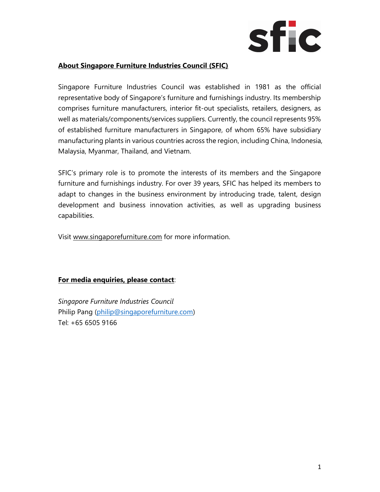

## About Singapore Furniture Industries Council (SFIC)

Singapore Furniture Industries Council was established in 1981 as the official representative body of Singapore's furniture and furnishings industry. Its membership comprises furniture manufacturers, interior fit-out specialists, retailers, designers, as well as materials/components/services suppliers. Currently, the council represents 95% of established furniture manufacturers in Singapore, of whom 65% have subsidiary manufacturing plants in various countries across the region, including China, Indonesia, Malaysia, Myanmar, Thailand, and Vietnam.

SFIC's primary role is to promote the interests of its members and the Singapore furniture and furnishings industry. For over 39 years, SFIC has helped its members to adapt to changes in the business environment by introducing trade, talent, design development and business innovation activities, as well as upgrading business capabilities.

Visit www.singaporefurniture.com for more information.

## For media enquiries, please contact:

Singapore Furniture Industries Council Philip Pang (philip@singaporefurniture.com) Tel: +65 6505 9166